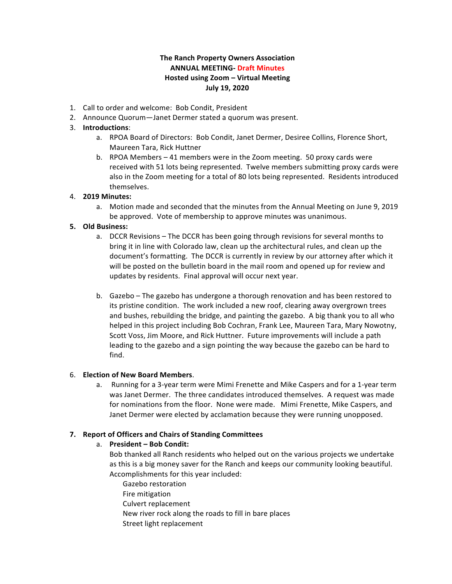# **The Ranch Property Owners Association ANNUAL MEETING- Draft Minutes Hosted using Zoom – Virtual Meeting July 19, 2020**

- 1. Call to order and welcome: Bob Condit, President
- 2. Announce Quorum—Janet Dermer stated a quorum was present.

## 3. **Introductions**:

- a. RPOA Board of Directors: Bob Condit, Janet Dermer, Desiree Collins, Florence Short, Maureen Tara, Rick Huttner
- b. RPOA Members 41 members were in the Zoom meeting. 50 proxy cards were received with 51 lots being represented. Twelve members submitting proxy cards were also in the Zoom meeting for a total of 80 lots being represented. Residents introduced themselves.

# 4. **2019 Minutes:**

a. Motion made and seconded that the minutes from the Annual Meeting on June 9, 2019 be approved. Vote of membership to approve minutes was unanimous.

### **5. Old Business:**

- a. DCCR Revisions The DCCR has been going through revisions for several months to bring it in line with Colorado law, clean up the architectural rules, and clean up the document's formatting. The DCCR is currently in review by our attorney after which it will be posted on the bulletin board in the mail room and opened up for review and updates by residents. Final approval will occur next year.
- b. Gazebo The gazebo has undergone a thorough renovation and has been restored to its pristine condition. The work included a new roof, clearing away overgrown trees and bushes, rebuilding the bridge, and painting the gazebo. A big thank you to all who helped in this project including Bob Cochran, Frank Lee, Maureen Tara, Mary Nowotny, Scott Voss, Jim Moore, and Rick Huttner. Future improvements will include a path leading to the gazebo and a sign pointing the way because the gazebo can be hard to find.

# 6. **Election of New Board Members**.

a. Running for a 3-year term were Mimi Frenette and Mike Caspers and for a 1-year term was Janet Dermer. The three candidates introduced themselves. A request was made for nominations from the floor. None were made. Mimi Frenette, Mike Caspers, and Janet Dermer were elected by acclamation because they were running unopposed.

# **7. Report of Officers and Chairs of Standing Committees**

#### a. **President - Bob Condit:**

- Bob thanked all Ranch residents who helped out on the various projects we undertake as this is a big money saver for the Ranch and keeps our community looking beautiful. Accomplishments for this year included:
	- Gazebo restoration Fire mitigation Culvert replacement New river rock along the roads to fill in bare places Street light replacement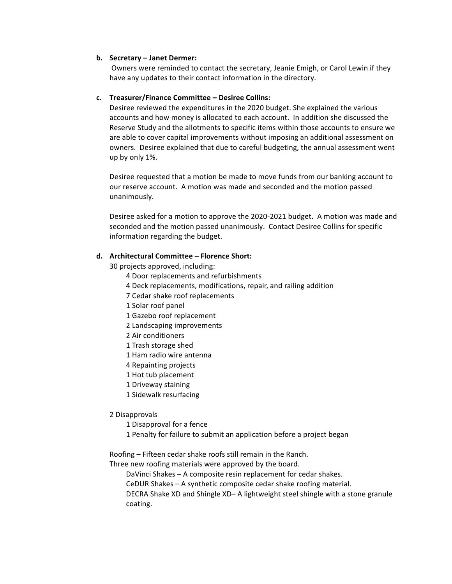#### **b. Secretary – Janet Dermer:**

Owners were reminded to contact the secretary, Jeanie Emigh, or Carol Lewin if they have any updates to their contact information in the directory.

### **c. Treasurer/Finance Committee – Desiree Collins:**

Desiree reviewed the expenditures in the 2020 budget. She explained the various accounts and how money is allocated to each account. In addition she discussed the Reserve Study and the allotments to specific items within those accounts to ensure we are able to cover capital improvements without imposing an additional assessment on owners. Desiree explained that due to careful budgeting, the annual assessment went up by only 1%.

Desiree requested that a motion be made to move funds from our banking account to our reserve account. A motion was made and seconded and the motion passed unanimously. 

Desiree asked for a motion to approve the 2020-2021 budget. A motion was made and seconded and the motion passed unanimously. Contact Desiree Collins for specific information regarding the budget.

## **d. Architectural Committee – Florence Short:**

30 projects approved, including:

- 4 Door replacements and refurbishments
- 4 Deck replacements, modifications, repair, and railing addition
- 7 Cedar shake roof replacements
- 1 Solar roof panel
- 1 Gazebo roof replacement
- 2 Landscaping improvements
- 2 Air conditioners
- 1 Trash storage shed
- 1 Ham radio wire antenna
- 4 Repainting projects
- 1 Hot tub placement
- 1 Driveway staining
- 1 Sidewalk resurfacing

#### 2 Disapprovals

- 1 Disapproval for a fence
- 1 Penalty for failure to submit an application before a project began

Roofing – Fifteen cedar shake roofs still remain in the Ranch.

Three new roofing materials were approved by the board.

DaVinci Shakes - A composite resin replacement for cedar shakes.

CeDUR Shakes  $-$  A synthetic composite cedar shake roofing material.

DECRA Shake XD and Shingle XD- A lightweight steel shingle with a stone granule coating.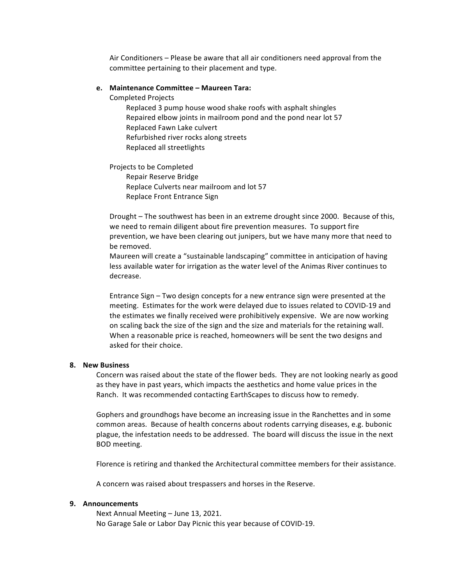Air Conditioners – Please be aware that all air conditioners need approval from the committee pertaining to their placement and type.

#### **e. Maintenance Committee – Maureen Tara:**

Completed Projects

Replaced 3 pump house wood shake roofs with asphalt shingles Repaired elbow joints in mailroom pond and the pond near lot 57 Replaced Fawn Lake culvert Refurbished river rocks along streets Replaced all streetlights

Projects to be Completed Repair Reserve Bridge Replace Culverts near mailroom and lot 57 Replace Front Entrance Sign

Drought - The southwest has been in an extreme drought since 2000. Because of this, we need to remain diligent about fire prevention measures. To support fire prevention, we have been clearing out junipers, but we have many more that need to be removed.

Maureen will create a "sustainable landscaping" committee in anticipation of having less available water for irrigation as the water level of the Animas River continues to decrease.

Entrance Sign – Two design concepts for a new entrance sign were presented at the meeting. Estimates for the work were delayed due to issues related to COVID-19 and the estimates we finally received were prohibitively expensive. We are now working on scaling back the size of the sign and the size and materials for the retaining wall. When a reasonable price is reached, homeowners will be sent the two designs and asked for their choice.

#### **8. New Business**

Concern was raised about the state of the flower beds. They are not looking nearly as good as they have in past years, which impacts the aesthetics and home value prices in the Ranch. It was recommended contacting EarthScapes to discuss how to remedy.

Gophers and groundhogs have become an increasing issue in the Ranchettes and in some common areas. Because of health concerns about rodents carrying diseases, e.g. bubonic plague, the infestation needs to be addressed. The board will discuss the issue in the next BOD meeting.

Florence is retiring and thanked the Architectural committee members for their assistance.

A concern was raised about trespassers and horses in the Reserve.

#### **9. Announcements**

Next Annual Meeting - June 13, 2021. No Garage Sale or Labor Day Picnic this year because of COVID-19.